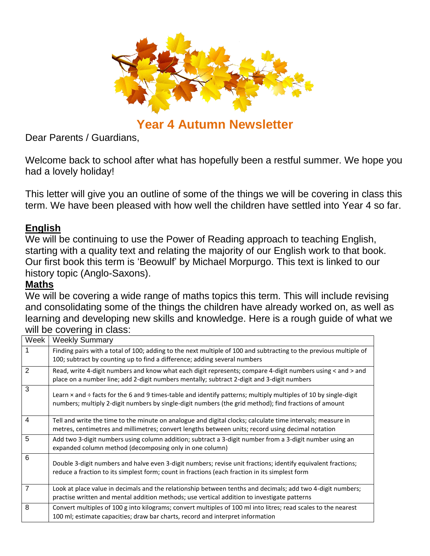

# **Year 4 Autumn Newsletter**

Dear Parents / Guardians,

Welcome back to school after what has hopefully been a restful summer. We hope you had a lovely holiday!

This letter will give you an outline of some of the things we will be covering in class this term. We have been pleased with how well the children have settled into Year 4 so far.

# **English**

We will be continuing to use the Power of Reading approach to teaching English, starting with a quality text and relating the majority of our English work to that book. Our first book this term is 'Beowulf' by Michael Morpurgo. This text is linked to our history topic (Anglo-Saxons).

## **Maths**

We will be covering a wide range of maths topics this term. This will include revising and consolidating some of the things the children have already worked on, as well as learning and developing new skills and knowledge. Here is a rough guide of what we will be covering in class:

| Week           | <b>Weekly Summary</b>                                                                                                                                                                                                           |
|----------------|---------------------------------------------------------------------------------------------------------------------------------------------------------------------------------------------------------------------------------|
| 1              | Finding pairs with a total of 100; adding to the next multiple of 100 and subtracting to the previous multiple of<br>100; subtract by counting up to find a difference; adding several numbers                                  |
| 2              | Read, write 4-digit numbers and know what each digit represents; compare 4-digit numbers using < and > and<br>place on a number line; add 2-digit numbers mentally; subtract 2-digit and 3-digit numbers                        |
| 3              | Learn $\times$ and ÷ facts for the 6 and 9 times-table and identify patterns; multiply multiples of 10 by single-digit<br>numbers; multiply 2-digit numbers by single-digit numbers (the grid method); find fractions of amount |
| $\overline{4}$ | Tell and write the time to the minute on analogue and digital clocks; calculate time intervals; measure in<br>metres, centimetres and millimetres; convert lengths between units; record using decimal notation                 |
| 5              | Add two 3-digit numbers using column addition; subtract a 3-digit number from a 3-digit number using an<br>expanded column method (decomposing only in one column)                                                              |
| 6              | Double 3-digit numbers and halve even 3-digit numbers; revise unit fractions; identify equivalent fractions;<br>reduce a fraction to its simplest form; count in fractions (each fraction in its simplest form                  |
| 7              | Look at place value in decimals and the relationship between tenths and decimals; add two 4-digit numbers;<br>practise written and mental addition methods; use vertical addition to investigate patterns                       |
| 8              | Convert multiples of 100 g into kilograms; convert multiples of 100 ml into litres; read scales to the nearest<br>100 ml; estimate capacities; draw bar charts, record and interpret information                                |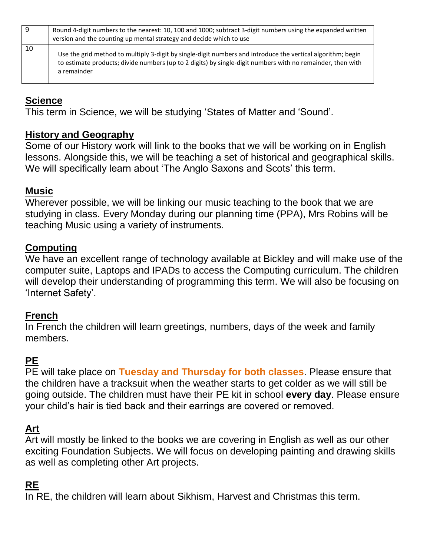| -9 | Round 4-digit numbers to the nearest: 10, 100 and 1000; subtract 3-digit numbers using the expanded written<br>version and the counting up mental strategy and decide which to use                                                       |
|----|------------------------------------------------------------------------------------------------------------------------------------------------------------------------------------------------------------------------------------------|
| 10 | Use the grid method to multiply 3-digit by single-digit numbers and introduce the vertical algorithm; begin<br>to estimate products; divide numbers (up to 2 digits) by single-digit numbers with no remainder, then with<br>a remainder |

# **Science**

This term in Science, we will be studying 'States of Matter and 'Sound'.

## **History and Geography**

Some of our History work will link to the books that we will be working on in English lessons. Alongside this, we will be teaching a set of historical and geographical skills. We will specifically learn about 'The Anglo Saxons and Scots' this term.

## **Music**

Wherever possible, we will be linking our music teaching to the book that we are studying in class. Every Monday during our planning time (PPA), Mrs Robins will be teaching Music using a variety of instruments.

## **Computing**

We have an excellent range of technology available at Bickley and will make use of the computer suite, Laptops and IPADs to access the Computing curriculum. The children will develop their understanding of programming this term. We will also be focusing on 'Internet Safety'.

## **French**

In French the children will learn greetings, numbers, days of the week and family members.

# **PE**

PE will take place on **Tuesday and Thursday for both classes**. Please ensure that the children have a tracksuit when the weather starts to get colder as we will still be going outside. The children must have their PE kit in school **every day**. Please ensure your child's hair is tied back and their earrings are covered or removed.

# **Art**

Art will mostly be linked to the books we are covering in English as well as our other exciting Foundation Subjects. We will focus on developing painting and drawing skills as well as completing other Art projects.

# **RE**

In RE, the children will learn about Sikhism, Harvest and Christmas this term.